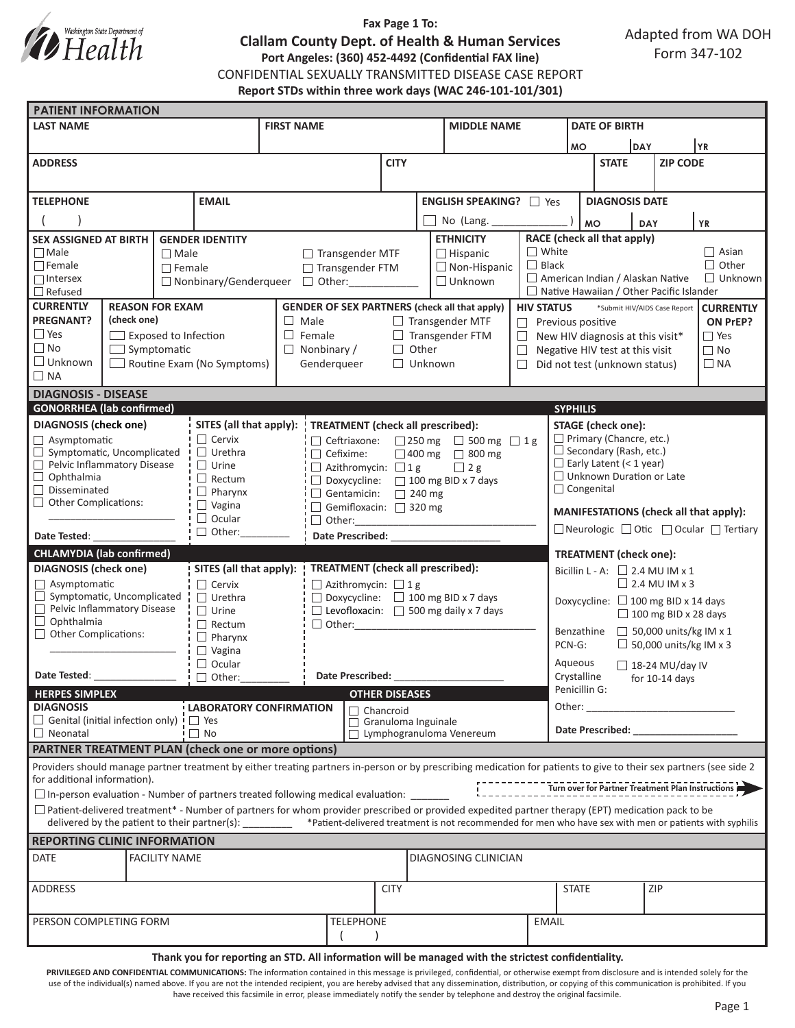

## **Fax Page 1 To: Clallam County Dept. of Health & Human Services Port Angeles: (360) 452-4492 (Confidential FAX line)** CONFIDENTIAL SEXUALLY TRANSMITTED DISEASE CASE REPORT **Report STDs within three work days (WAC 246-101-101/301)**

| <b>PATIENT INFORMATION</b>                                                                                                                                                                          |                                                                                                     |                                                                             |                                                                                         |                                                                  |                                                                                                                                                                                                                                |                                                                 |           |  |  |
|-----------------------------------------------------------------------------------------------------------------------------------------------------------------------------------------------------|-----------------------------------------------------------------------------------------------------|-----------------------------------------------------------------------------|-----------------------------------------------------------------------------------------|------------------------------------------------------------------|--------------------------------------------------------------------------------------------------------------------------------------------------------------------------------------------------------------------------------|-----------------------------------------------------------------|-----------|--|--|
| <b>LAST NAME</b><br><b>FIRST NAME</b>                                                                                                                                                               |                                                                                                     | <b>MIDDLE NAME</b>                                                          |                                                                                         |                                                                  | <b>DATE OF BIRTH</b>                                                                                                                                                                                                           |                                                                 |           |  |  |
|                                                                                                                                                                                                     |                                                                                                     |                                                                             |                                                                                         |                                                                  | <b>MO</b>                                                                                                                                                                                                                      | DAY                                                             | <b>YR</b> |  |  |
| <b>ADDRESS</b>                                                                                                                                                                                      |                                                                                                     | <b>CITY</b>                                                                 |                                                                                         |                                                                  | <b>STATE</b>                                                                                                                                                                                                                   | <b>ZIP CODE</b>                                                 |           |  |  |
|                                                                                                                                                                                                     |                                                                                                     |                                                                             |                                                                                         |                                                                  |                                                                                                                                                                                                                                |                                                                 |           |  |  |
| <b>TELEPHONE</b><br><b>EMAIL</b>                                                                                                                                                                    |                                                                                                     | <b>ENGLISH SPEAKING?</b><br>$\Box$ Yes                                      |                                                                                         |                                                                  | <b>DIAGNOSIS DATE</b>                                                                                                                                                                                                          |                                                                 |           |  |  |
|                                                                                                                                                                                                     |                                                                                                     |                                                                             | No (Lang.                                                                               |                                                                  |                                                                                                                                                                                                                                |                                                                 |           |  |  |
|                                                                                                                                                                                                     |                                                                                                     |                                                                             | <b>MO</b><br><b>YR</b><br><b>DAY</b><br>RACE (check all that apply)<br><b>ETHNICITY</b> |                                                                  |                                                                                                                                                                                                                                |                                                                 |           |  |  |
| <b>SEX ASSIGNED AT BIRTH  </b><br><b>GENDER IDENTITY</b><br>$\Box$ Male                                                                                                                             | $\Box$ Male<br>$\Box$ Transgender MTF                                                               |                                                                             |                                                                                         | $\Box$ White<br>$\Box$ Asian<br>$\Box$ Hispanic                  |                                                                                                                                                                                                                                |                                                                 |           |  |  |
| $\Box$ Female                                                                                                                                                                                       | □ Transgender FTM<br>$\Box$ Female                                                                  |                                                                             |                                                                                         | $\Box$ Black<br>$\Box$ Other<br>$\Box$ Non-Hispanic              |                                                                                                                                                                                                                                |                                                                 |           |  |  |
| $\Box$ Intersex<br>$\Box$ Nonbinary/Genderqueer $\Box$ Other:                                                                                                                                       |                                                                                                     | $\Box$ American Indian / Alaskan Native<br>$\Box$ Unknown<br>$\Box$ Unknown |                                                                                         |                                                                  |                                                                                                                                                                                                                                |                                                                 |           |  |  |
| $\Box$ Native Hawaiian / Other Pacific Islander<br>$\Box$ Refused                                                                                                                                   |                                                                                                     |                                                                             |                                                                                         |                                                                  |                                                                                                                                                                                                                                |                                                                 |           |  |  |
| <b>CURRENTLY</b><br><b>REASON FOR EXAM</b><br><b>PREGNANT?</b>                                                                                                                                      | <b>GENDER OF SEX PARTNERS (check all that apply)</b><br>(check one)<br>$\Box$ Male                  |                                                                             |                                                                                         | <b>HIV STATUS</b>                                                | *Submit HIV/AIDS Case Report<br><b>CURRENTLY</b>                                                                                                                                                                               |                                                                 |           |  |  |
| $\Box$ Yes<br>$\Box$ Exposed to Infection                                                                                                                                                           | $\Box$ Transgender MTF<br>$\Box$ Female                                                             |                                                                             |                                                                                         |                                                                  | $\Box$ Previous positive<br>ON PrEP?<br>$\Box$ Yes<br>New HIV diagnosis at this visit*                                                                                                                                         |                                                                 |           |  |  |
| $\Box$ No<br>$\Box$ Symptomatic                                                                                                                                                                     | $\Box$ Transgender FTM<br>Other<br>$\Box$ Nonbinary /<br>П.                                         |                                                                             |                                                                                         | $\Box$<br>$\Box$ No<br>$\Box$<br>Negative HIV test at this visit |                                                                                                                                                                                                                                |                                                                 |           |  |  |
| $\Box$ Unknown                                                                                                                                                                                      | Routine Exam (No Symptoms)<br>$\Box$ Unknown<br>Genderqueer<br>$\Box$                               |                                                                             |                                                                                         |                                                                  | Did not test (unknown status)<br>$\Box$ NA                                                                                                                                                                                     |                                                                 |           |  |  |
| $\Box$ NA                                                                                                                                                                                           |                                                                                                     |                                                                             |                                                                                         |                                                                  |                                                                                                                                                                                                                                |                                                                 |           |  |  |
| <b>DIAGNOSIS - DISEASE</b>                                                                                                                                                                          |                                                                                                     |                                                                             |                                                                                         |                                                                  |                                                                                                                                                                                                                                |                                                                 |           |  |  |
| <b>GONORRHEA</b> (lab confirmed)<br><b>SYPHILIS</b>                                                                                                                                                 |                                                                                                     |                                                                             |                                                                                         |                                                                  |                                                                                                                                                                                                                                |                                                                 |           |  |  |
| <b>DIAGNOSIS</b> (check one)                                                                                                                                                                        | SITES (all that apply):<br>TREATMENT (check all prescribed):                                        |                                                                             |                                                                                         |                                                                  |                                                                                                                                                                                                                                | <b>STAGE</b> (check one):                                       |           |  |  |
| $\Box$ Asymptomatic<br>$\Box$<br>Symptomatic, Uncomplicated<br>$\Box$ Urethra                                                                                                                       | $\Box$ Cervix<br>□ Ceftriaxone:<br>□ 250 mg □ 500 mg □ 1g                                           |                                                                             |                                                                                         |                                                                  |                                                                                                                                                                                                                                | $\Box$ Primary (Chancre, etc.)<br>$\Box$ Secondary (Rash, etc.) |           |  |  |
| Pelvic Inflammatory Disease<br>$\Box$ Urine                                                                                                                                                         | $\Box$ Cefixime:<br>□ 400 mg □ 800 mg<br>$\Box$ 2 g<br>$\Box$ Azithromycin: $\Box$ 1 g              |                                                                             |                                                                                         |                                                                  |                                                                                                                                                                                                                                | $\Box$ Early Latent (< 1 year)                                  |           |  |  |
| $\Box$ Ophthalmia<br>$\Box$ Rectum                                                                                                                                                                  | $\Box$ Doxycycline:<br>$\Box$ 100 mg BID x 7 days                                                   |                                                                             |                                                                                         |                                                                  |                                                                                                                                                                                                                                | □ Unknown Duration or Late                                      |           |  |  |
| Disseminated<br>$\Box$<br>$\Box$ Pharynx<br>$\Box$ Gentamicin:<br>$\Box$ 240 mg                                                                                                                     |                                                                                                     |                                                                             |                                                                                         |                                                                  | $\Box$ Congenital                                                                                                                                                                                                              |                                                                 |           |  |  |
| $\Box$ Other Complications:<br>$\Box$ Vagina<br>Gemifloxacin: 320 mg                                                                                                                                |                                                                                                     |                                                                             |                                                                                         |                                                                  | MANIFESTATIONS (check all that apply):                                                                                                                                                                                         |                                                                 |           |  |  |
| $\Box$ Ocular<br>$\Box$ Other:                                                                                                                                                                      | $\Box$ Other:                                                                                       | $\Box$ Neurologic $\Box$ Otic $\Box$ Ocular $\Box$ Tertiary                 |                                                                                         |                                                                  |                                                                                                                                                                                                                                |                                                                 |           |  |  |
| <b>Date Prescribed:</b><br>Date Tested:                                                                                                                                                             |                                                                                                     |                                                                             |                                                                                         |                                                                  |                                                                                                                                                                                                                                |                                                                 |           |  |  |
| <b>CHLAMYDIA (lab confirmed)</b><br>SITES (all that apply):<br>TREATMENT (check all prescribed):                                                                                                    |                                                                                                     |                                                                             |                                                                                         |                                                                  | <b>TREATMENT</b> (check one):                                                                                                                                                                                                  |                                                                 |           |  |  |
| <b>DIAGNOSIS</b> (check one)<br>$\Box$ Asymptomatic<br>$\Box$ Cervix                                                                                                                                |                                                                                                     |                                                                             |                                                                                         |                                                                  | Bicillin L - A: $\Box$ 2.4 MU IM x 1<br>$\Box$ 2.4 MU IM x 3                                                                                                                                                                   |                                                                 |           |  |  |
| $\Box$ Symptomatic, Uncomplicated                                                                                                                                                                   | $\Box$ Azithromycin: $\Box$ 1 g<br>$\Box$ Doxycycline: $\Box$ 100 mg BID x 7 days<br>$\Box$ Urethra |                                                                             |                                                                                         |                                                                  | Doxycycline: □ 100 mg BID x 14 days                                                                                                                                                                                            |                                                                 |           |  |  |
| Pelvic Inflammatory Disease<br>$\Box$ Urine                                                                                                                                                         | $\Box$ Levofloxacin: $\Box$ 500 mg daily x 7 days                                                   |                                                                             |                                                                                         |                                                                  | $\Box$ 100 mg BID x 28 days                                                                                                                                                                                                    |                                                                 |           |  |  |
| $\Box$ Ophthalmia<br>$\Box$ Rectum<br>$\Box$ Other:<br>$\Box$ Other Complications:                                                                                                                  |                                                                                                     |                                                                             |                                                                                         |                                                                  | $\Box$ 50,000 units/kg IM x 1<br>Benzathine<br>$\Box$ 50,000 units/kg IM x 3<br>PCN-G:                                                                                                                                         |                                                                 |           |  |  |
| $\Box$ Pharynx<br>$\Box$ Vagina                                                                                                                                                                     |                                                                                                     |                                                                             |                                                                                         |                                                                  |                                                                                                                                                                                                                                |                                                                 |           |  |  |
| $\Box$ Ocular                                                                                                                                                                                       |                                                                                                     |                                                                             |                                                                                         |                                                                  | Aqueous<br>$\Box$ 18-24 MU/day IV                                                                                                                                                                                              |                                                                 |           |  |  |
| Date Tested:<br>$\Box$ Other:                                                                                                                                                                       | <b>Date Prescribed:</b>                                                                             |                                                                             |                                                                                         |                                                                  | Crystalline<br>for $10-14$ days                                                                                                                                                                                                |                                                                 |           |  |  |
| Penicillin G:<br><b>HERPES SIMPLEX</b><br><b>OTHER DISEASES</b>                                                                                                                                     |                                                                                                     |                                                                             |                                                                                         |                                                                  |                                                                                                                                                                                                                                |                                                                 |           |  |  |
| <b>DIAGNOSIS</b><br><b>LABORATORY CONFIRMATION</b><br>$\Box$ Chancroid                                                                                                                              |                                                                                                     |                                                                             |                                                                                         | Other:                                                           |                                                                                                                                                                                                                                | <u> 1990 - Johann Barbara, martxa</u>                           |           |  |  |
| $\Box$ Genital (initial infection only) !<br>$\Box$ No<br>$\Box$ Neonatal                                                                                                                           | $\Box$ Yes<br>Granuloma Inguinale<br>$\Box$ Lymphogranuloma Venereum                                |                                                                             |                                                                                         |                                                                  | Date Prescribed: Note that the present of the state of the state of the state of the state of the state of the state of the state of the state of the state of the state of the state of the state of the state of the state o |                                                                 |           |  |  |
| <b>PARTNER TREATMENT PLAN (check one or more options)</b>                                                                                                                                           |                                                                                                     |                                                                             |                                                                                         |                                                                  |                                                                                                                                                                                                                                |                                                                 |           |  |  |
|                                                                                                                                                                                                     |                                                                                                     |                                                                             |                                                                                         |                                                                  |                                                                                                                                                                                                                                |                                                                 |           |  |  |
| Providers should manage partner treatment by either treating partners in-person or by prescribing medication for patients to give to their sex partners (see side 2<br>for additional information). |                                                                                                     |                                                                             |                                                                                         |                                                                  |                                                                                                                                                                                                                                |                                                                 |           |  |  |
| $\Box$ In-person evaluation - Number of partners treated following medical evaluation:                                                                                                              |                                                                                                     |                                                                             |                                                                                         |                                                                  |                                                                                                                                                                                                                                |                                                                 |           |  |  |
| $\Box$ Patient-delivered treatment* - Number of partners for whom provider prescribed or provided expedited partner therapy (EPT) medication pack to be                                             |                                                                                                     |                                                                             |                                                                                         |                                                                  |                                                                                                                                                                                                                                |                                                                 |           |  |  |
| delivered by the patient to their partner(s): _______ *Patient-delivered treatment is not recommended for men who have sex with men or patients with syphilis                                       |                                                                                                     |                                                                             |                                                                                         |                                                                  |                                                                                                                                                                                                                                |                                                                 |           |  |  |
| <b>REPORTING CLINIC INFORMATION</b>                                                                                                                                                                 |                                                                                                     |                                                                             |                                                                                         |                                                                  |                                                                                                                                                                                                                                |                                                                 |           |  |  |
| DATE<br><b>FACILITY NAME</b>                                                                                                                                                                        |                                                                                                     |                                                                             |                                                                                         |                                                                  | DIAGNOSING CLINICIAN                                                                                                                                                                                                           |                                                                 |           |  |  |
|                                                                                                                                                                                                     |                                                                                                     | <b>CITY</b>                                                                 |                                                                                         |                                                                  | <b>STATE</b>                                                                                                                                                                                                                   | ZIP                                                             |           |  |  |
| ADDRESS                                                                                                                                                                                             |                                                                                                     |                                                                             |                                                                                         |                                                                  |                                                                                                                                                                                                                                |                                                                 |           |  |  |
| PERSON COMPLETING FORM                                                                                                                                                                              | <b>TELEPHONE</b>                                                                                    |                                                                             |                                                                                         | <b>EMAIL</b>                                                     |                                                                                                                                                                                                                                |                                                                 |           |  |  |

#### **Thank you for reporting an STD. All information will be managed with the strictest confidentiality.**

PRIVILEGED AND CONFIDENTIAL COMMUNICATIONS: The information contained in this message is privileged, confidential, or otherwise exempt from disclosure and is intended solely for the use of the individual(s) named above. If you are not the intended recipient, you are hereby advised that any dissemination, distribution, or copying of this communication is prohibited. If you have received this facsimile in error, please immediately notify the sender by telephone and destroy the original facsimile.